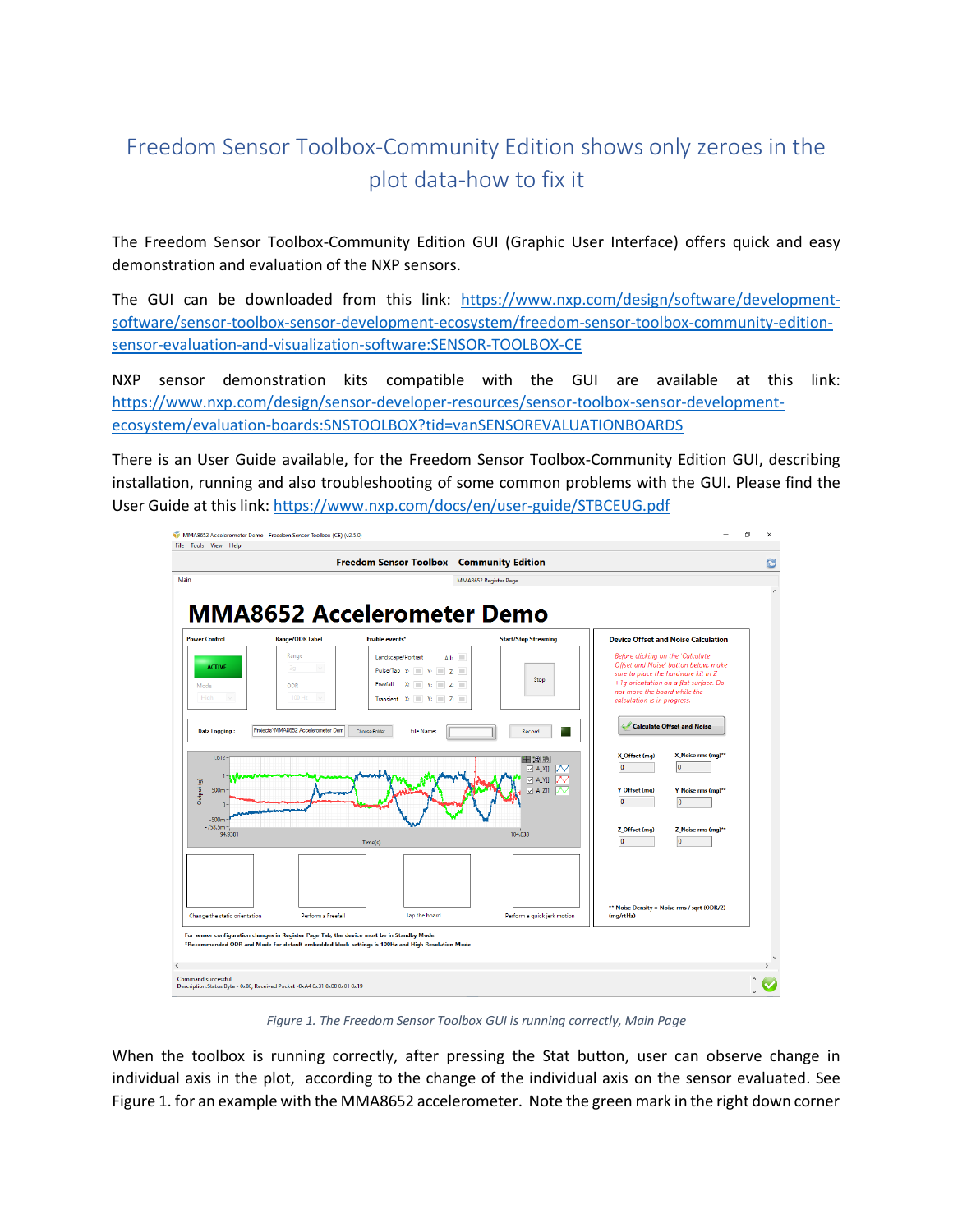## Freedom Sensor Toolbox-Community Edition shows only zeroes in the plot data-how to fix it

The Freedom Sensor Toolbox-Community Edition GUI (Graphic User Interface) offers quick and easy demonstration and evaluation of the NXP sensors.

The GUI can be downloaded from this link: [https://www.nxp.com/design/software/development](https://www.nxp.com/design/software/development-software/sensor-toolbox-sensor-development-ecosystem/freedom-sensor-toolbox-community-edition-sensor-evaluation-and-visualization-software:SENSOR-TOOLBOX-CE)[software/sensor-toolbox-sensor-development-ecosystem/freedom-sensor-toolbox-community-edition](https://www.nxp.com/design/software/development-software/sensor-toolbox-sensor-development-ecosystem/freedom-sensor-toolbox-community-edition-sensor-evaluation-and-visualization-software:SENSOR-TOOLBOX-CE)[sensor-evaluation-and-visualization-software:SENSOR-TOOLBOX-CE](https://www.nxp.com/design/software/development-software/sensor-toolbox-sensor-development-ecosystem/freedom-sensor-toolbox-community-edition-sensor-evaluation-and-visualization-software:SENSOR-TOOLBOX-CE)

NXP sensor demonstration kits compatible with the GUI are available at this link: [https://www.nxp.com/design/sensor-developer-resources/sensor-toolbox-sensor-development](https://www.nxp.com/design/sensor-developer-resources/sensor-toolbox-sensor-development-ecosystem/evaluation-boards:SNSTOOLBOX?tid=vanSENSOREVALUATIONBOARDS)[ecosystem/evaluation-boards:SNSTOOLBOX?tid=vanSENSOREVALUATIONBOARDS](https://www.nxp.com/design/sensor-developer-resources/sensor-toolbox-sensor-development-ecosystem/evaluation-boards:SNSTOOLBOX?tid=vanSENSOREVALUATIONBOARDS)

There is an User Guide available, for the Freedom Sensor Toolbox-Community Edition GUI, describing installation, running and also troubleshooting of some common problems with the GUI. Please find the User Guide at this link[: https://www.nxp.com/docs/en/user-guide/STBCEUG.pdf](https://www.nxp.com/docs/en/user-guide/STBCEUG.pdf)



*Figure 1. The Freedom Sensor Toolbox GUI is running correctly, Main Page*

When the toolbox is running correctly, after pressing the Stat button, user can observe change in individual axis in the plot, according to the change of the individual axis on the sensor evaluated. See Figure 1. for an example with the MMA8652 accelerometer. Note the green mark in the right down corner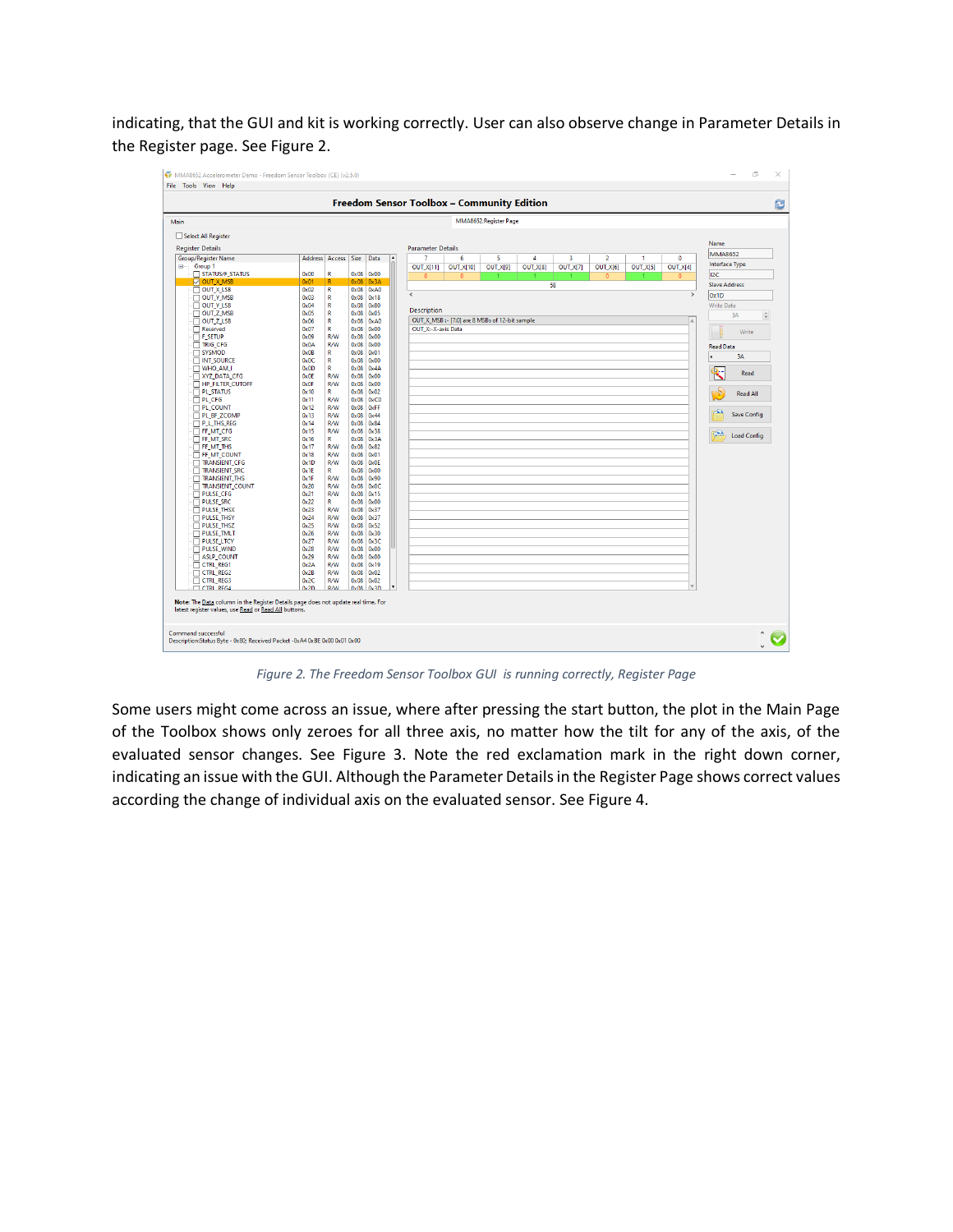indicating, that the GUI and kit is working correctly. User can also observe change in Parameter Details in the Register page. See Figure 2.

|                                                                                                                                            |                     |                         |                               |               |                  | <b>Freedom Sensor Toolbox - Community Edition</b> |                                                |                       |          |          |                |                 |                 |                      |
|--------------------------------------------------------------------------------------------------------------------------------------------|---------------------|-------------------------|-------------------------------|---------------|------------------|---------------------------------------------------|------------------------------------------------|-----------------------|----------|----------|----------------|-----------------|-----------------|----------------------|
| Main                                                                                                                                       |                     |                         |                               |               |                  |                                                   |                                                | MMA8652.Register Page |          |          |                |                 |                 |                      |
| Select All Register                                                                                                                        |                     |                         |                               |               |                  |                                                   |                                                |                       |          |          |                |                 |                 |                      |
| <b>Register Details</b>                                                                                                                    |                     |                         |                               |               |                  | <b>Parameter Details</b>                          |                                                |                       |          |          |                |                 |                 | Name                 |
| <b>Group/Register Name</b>                                                                                                                 | Address Access Size |                         |                               | Data          | $\blacktriangle$ | 7                                                 | 6                                              | 5                     | 4        | 3        | $\overline{2}$ | 1               | $\mathbf 0$     | <b>MMA8652</b>       |
| <b>Ellis</b> Group 1                                                                                                                       |                     |                         |                               |               |                  |                                                   | OUT_X[11] OUT_X[10]                            | <b>OUT_X[9]</b>       | OUT_X[8] | OUT_X[7] | OUT_X[6]       | <b>OUT_X[5]</b> | <b>OUT_X[4]</b> | Interface Type       |
| STATUS/F_STATUS                                                                                                                            | 0x00                | R                       | $0x08$ $0x00$                 |               |                  | $\mathbf{0}$                                      | $\mathbf{0}$                                   |                       |          |          | $\mathbf{0}$   |                 | $\Omega$        | 12C                  |
| <b>DI OUT X MSB</b>                                                                                                                        | 0x01                | R                       | 0x08                          | 0x3A          |                  |                                                   |                                                |                       |          | 58       |                |                 |                 | <b>Slave Address</b> |
| <b>NOUT X_LSB</b>                                                                                                                          | 0x02                | $\overline{\mathbf{R}}$ | $0 \times 08$                 | 0xA0          |                  | $\epsilon$                                        |                                                |                       |          |          |                |                 | $\,$            |                      |
| OUT Y MSB                                                                                                                                  | 0 <sub>x</sub> 03   | R                       | 0x08                          | 0x18          |                  |                                                   |                                                |                       |          |          |                |                 |                 | 0x1D                 |
| OUT_Y_LSB                                                                                                                                  | 0x04                | $\mathbf R$             | $0 \times 08$                 | 0x80          |                  |                                                   |                                                |                       |          |          |                |                 |                 | <b>Write Data</b>    |
| OUT_Z_MSB                                                                                                                                  | 0 <sub>x</sub> 05   | R                       | $0 \times 08$                 | 0x05          |                  | Description                                       |                                                |                       |          |          |                |                 |                 | $\frac{1}{2}$<br>3A  |
| $\Box$ OUT_Z_LSB                                                                                                                           | 0x06                | $\mathbf R$             | $0 \times 08$                 | 0xA0          |                  |                                                   | OUT_X_MSB :- [7:0] are 8 MSBs of 12-bit sample |                       |          |          |                |                 | A               |                      |
| Reserved                                                                                                                                   | 0 <sub>x</sub> 07   | R                       | $0 \times 08$                 | $0 \times 00$ |                  | OUT_X:-X-axis Data                                |                                                |                       |          |          |                |                 |                 | Write                |
| F_SETUP                                                                                                                                    | $0 \times 09$       | <b>R/W</b>              | $0 \times 08$                 | $0 \times 00$ |                  |                                                   |                                                |                       |          |          |                |                 |                 |                      |
| TRIG_CFG                                                                                                                                   | 0x0A                | <b>R/W</b>              | $0 \times 08$                 | $0 \times 00$ |                  |                                                   |                                                |                       |          |          |                |                 |                 | <b>Read Data</b>     |
| <b>T SYSMOD</b>                                                                                                                            | 0x0B                | R                       | $0 \times 08$                 | 0x01          |                  |                                                   |                                                |                       |          |          |                |                 |                 | 3A                   |
| <b>NT_SOURCE</b>                                                                                                                           | 0x0C                | R                       | $0 \times 08$                 | 0x00          |                  |                                                   |                                                |                       |          |          |                |                 |                 |                      |
| WHO_AM_I                                                                                                                                   | 0x0D                | R                       | $0 \times 08$                 | 0x4A          |                  |                                                   |                                                |                       |          |          |                |                 |                 |                      |
| <b>NYZ_DATA_CFG</b>                                                                                                                        | 0x0E                | <b>R/W</b>              | $0 \times 08$                 | $0 \times 00$ |                  |                                                   |                                                |                       |          |          |                |                 |                 | Read                 |
| HP FILTER CUTOFF                                                                                                                           | 0x0F                | <b>R/W</b>              | $0 \times 08$                 | 0x00          |                  |                                                   |                                                |                       |          |          |                |                 |                 |                      |
| <b>PL_STATUS</b>                                                                                                                           | 0x10                | R                       | $0 \times 08$                 | $0 \times 02$ |                  |                                                   |                                                |                       |          |          |                |                 |                 | <b>Read All</b>      |
| <b>PL CFG</b>                                                                                                                              | 0x11                | <b>R/W</b>              | 0x08                          | 0xC0          |                  |                                                   |                                                |                       |          |          |                |                 |                 |                      |
| <b>PL_COUNT</b>                                                                                                                            | 0x12                | <b>R/W</b>              | $0 \times 08$                 | <b>OxFF</b>   |                  |                                                   |                                                |                       |          |          |                |                 |                 |                      |
| PL_BF_ZCOMP                                                                                                                                | 0x13                | <b>R/W</b>              | $0 \times 08$                 | 0x44          |                  |                                                   |                                                |                       |          |          |                |                 |                 | <b>Save Config</b>   |
| PL THS REG                                                                                                                                 | 0x14                | <b>R/W</b>              | $0 \times 08$                 | 0x84          |                  |                                                   |                                                |                       |          |          |                |                 |                 |                      |
| FF MT CFG                                                                                                                                  | 0x15                | <b>R/W</b>              | 0x08                          | 0x38          |                  |                                                   |                                                |                       |          |          |                |                 |                 | æ                    |
| FF_MT_SRC                                                                                                                                  | 0x16                | R.                      | $0 \times 08$                 | 0x3A          |                  |                                                   |                                                |                       |          |          |                |                 |                 | <b>Load Config</b>   |
| $F.M.L.$ THS                                                                                                                               | 0x17                | <b>R/W</b>              | $0 \times 08$                 | 0x82          |                  |                                                   |                                                |                       |          |          |                |                 |                 |                      |
| FF_MT_COUNT                                                                                                                                | 0x18                | <b>R/W</b>              | $0 \times 08$                 | 0x01          |                  |                                                   |                                                |                       |          |          |                |                 |                 |                      |
| TRANSIENT_CFG                                                                                                                              | 0x1D                | <b>R/W</b>              | $0 \times 08$                 | 0x0E          |                  |                                                   |                                                |                       |          |          |                |                 |                 |                      |
| <b>TRANSIENT_SRC</b>                                                                                                                       | 0x1E                | R.                      | $0 \times 08$                 | $0 \times 00$ |                  |                                                   |                                                |                       |          |          |                |                 |                 |                      |
| TRANSIENT_THS                                                                                                                              | 0x1F                | <b>R/W</b>              | $0 \times 08$                 | 0x90          |                  |                                                   |                                                |                       |          |          |                |                 |                 |                      |
| TRANSIENT_COUNT                                                                                                                            | 0x20                | <b>R/W</b>              | 0 <sub>x</sub> 08             | 0x0C          |                  |                                                   |                                                |                       |          |          |                |                 |                 |                      |
| $\neg$ Pulse CFG                                                                                                                           | 0x21                | <b>R/W</b>              | $0 \times 08$                 | 0x15          |                  |                                                   |                                                |                       |          |          |                |                 |                 |                      |
| <b>PULSE SRC</b>                                                                                                                           | 0x22                | R.                      | 0x08                          | 0x00          |                  |                                                   |                                                |                       |          |          |                |                 |                 |                      |
| <b>PULSE_THSX</b>                                                                                                                          | 0x23                | <b>R/W</b>              | $0 \times 08$                 | 0x37          |                  |                                                   |                                                |                       |          |          |                |                 |                 |                      |
| PULSE_THSY                                                                                                                                 | 0x24                | <b>R/W</b>              | $0 \times 08$                 | 0x37          |                  |                                                   |                                                |                       |          |          |                |                 |                 |                      |
| PULSE_THSZ                                                                                                                                 | 0x25                | <b>R/W</b>              | $0 \times 08$                 | 0x52          |                  |                                                   |                                                |                       |          |          |                |                 |                 |                      |
| <b>PULSE_TMLT</b>                                                                                                                          | 0x26                | <b>R/W</b>              | 0x08                          | 0x30          |                  |                                                   |                                                |                       |          |          |                |                 |                 |                      |
| <b>TI PULSE LTCY</b>                                                                                                                       | 0x27                | <b>R/W</b>              | $0 \times 08$                 | 0x3C          |                  |                                                   |                                                |                       |          |          |                |                 |                 |                      |
| PULSE_WIND                                                                                                                                 | 0x28                | <b>R/W</b>              | $0 \times 08$                 | $0 \times 00$ |                  |                                                   |                                                |                       |          |          |                |                 |                 |                      |
| ASLP_COUNT                                                                                                                                 | 0x29                | R/W                     | 0x08                          | 0x00          |                  |                                                   |                                                |                       |          |          |                |                 |                 |                      |
| <b>T CTRL_REG1</b>                                                                                                                         | 0x2A                | <b>R/W</b>              | $0 \times 08$                 | 0x19          |                  |                                                   |                                                |                       |          |          |                |                 |                 |                      |
| CTRL_REG2                                                                                                                                  | 0x2B                | <b>R/W</b>              | $0 \times 08$                 | $0 \times 02$ |                  |                                                   |                                                |                       |          |          |                |                 |                 |                      |
| <b>CTRL_REG3</b>                                                                                                                           | 0x2C                | <b>R/W</b>              | $0 \times 08$ $0 \times 02$   |               |                  |                                                   |                                                |                       |          |          |                |                 |                 |                      |
| TCTRIRFGA                                                                                                                                  | 0x2D                | <b>RAM</b>              | 0 <sub>x</sub> 0 <sub>x</sub> | 0x3D          |                  |                                                   |                                                |                       |          |          |                |                 |                 |                      |
| Note: The Data column in the Register Details page does not update real time. For<br>latest register values, use Read or Read All buttons. |                     |                         |                               |               |                  |                                                   |                                                |                       |          |          |                |                 |                 |                      |

*Figure 2. The Freedom Sensor Toolbox GUI is running correctly, Register Page*

Some users might come across an issue, where after pressing the start button, the plot in the Main Page of the Toolbox shows only zeroes for all three axis, no matter how the tilt for any of the axis, of the evaluated sensor changes. See Figure 3. Note the red exclamation mark in the right down corner, indicating an issue with the GUI. Although the Parameter Details in the Register Page shows correct values according the change of individual axis on the evaluated sensor. See Figure 4.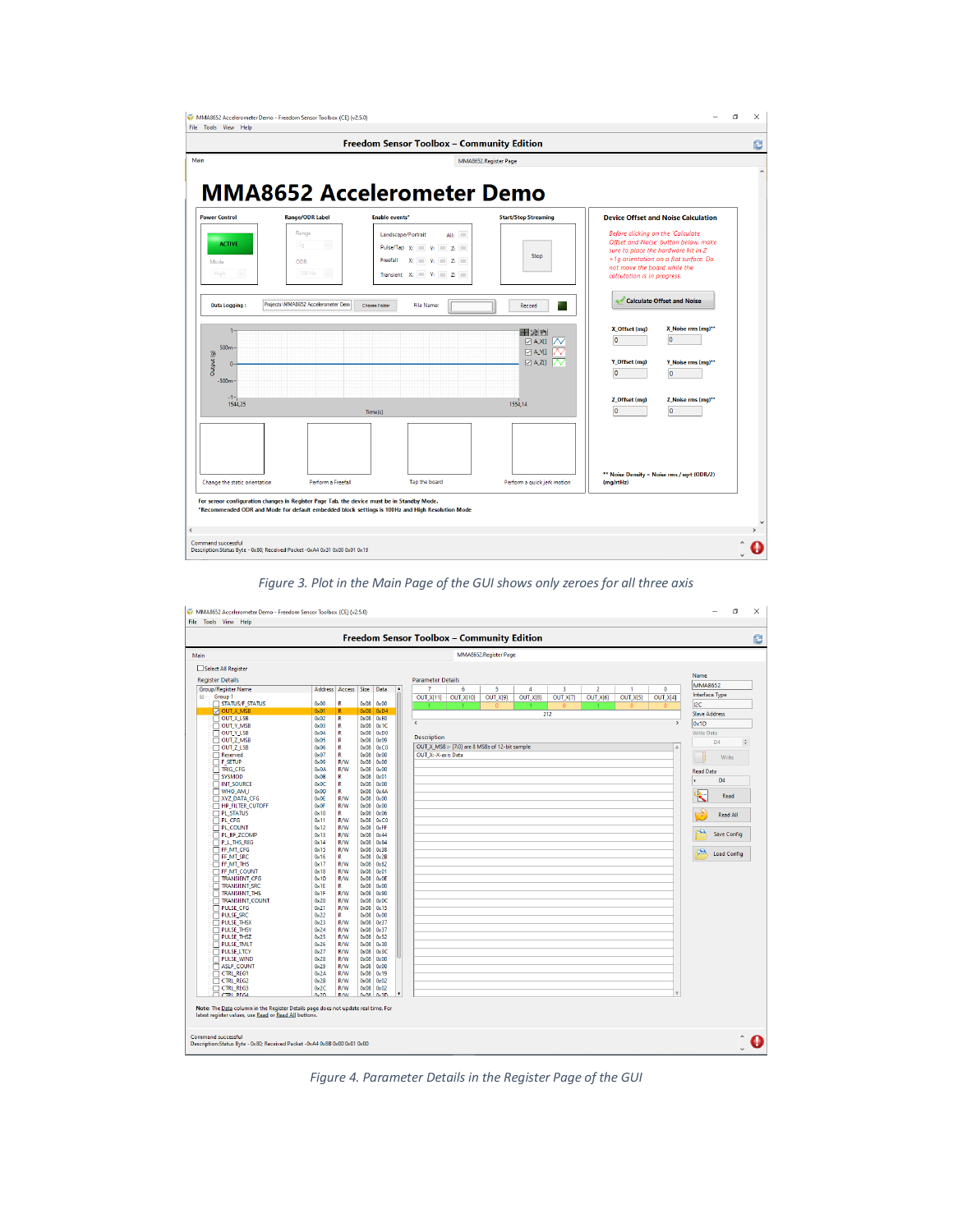|                               |                                                                                            | <b>Freedom Sensor Toolbox - Community Edition</b>                                               |                                              |                                                                             |
|-------------------------------|--------------------------------------------------------------------------------------------|-------------------------------------------------------------------------------------------------|----------------------------------------------|-----------------------------------------------------------------------------|
|                               |                                                                                            |                                                                                                 | MMA8652.Register Page                        |                                                                             |
|                               |                                                                                            | <b>MMA8652 Accelerometer Demo</b>                                                               |                                              |                                                                             |
| <b>Power Control</b>          | <b>Range/ODR Label</b>                                                                     | Enable events*                                                                                  | <b>Start/Stop Streaming</b>                  | <b>Device Offset and Noise Calculation</b>                                  |
|                               | Range                                                                                      | Landscape/Portrait<br>All:                                                                      |                                              | Before clicking on the 'Calculate                                           |
| <b>ACTIVE</b>                 | 2 <sub>g</sub>                                                                             | Pulse/Tap X:<br>m<br>Z:<br>$\mathbf{v}$                                                         |                                              | Offset and Noise' button below, make<br>sure to place the hardware kit in Z |
| Mode                          | ODR                                                                                        | Freefall<br>Z:<br>m                                                                             | Stop                                         | +1q orientation on a flat surface. Do<br>not move the board while the       |
| High                          | 100 Hz                                                                                     | Transient X: V: Z:                                                                              |                                              | calculation is in progress.                                                 |
|                               |                                                                                            |                                                                                                 |                                              | <b>Calculate Offset and Noise</b>                                           |
| Data Logging:                 | Projects\MMA8652 Accelerometer Dem                                                         | <b>File Name:</b><br>Choose Folder                                                              | Record                                       |                                                                             |
|                               |                                                                                            |                                                                                                 | 干!?! 秒                                       | X_Noise rms (mq)**<br>X_Offset (mg)                                         |
| 500m                          |                                                                                            |                                                                                                 | $\boxtimes$ AXII $\boxtimes$                 | o<br>$\overline{0}$                                                         |
| Output (g)<br>$\bf{0}$        |                                                                                            |                                                                                                 | <b>▽ A_YII</b><br>1V<br>1V<br>$\nabla$ A.Z() | Y_Offset (mq)<br>Y Noise rms (mg)**                                         |
|                               |                                                                                            |                                                                                                 |                                              | $\overline{0}$<br>o                                                         |
| $-500m$                       |                                                                                            |                                                                                                 |                                              |                                                                             |
| $-1-$<br>1544,25              |                                                                                            |                                                                                                 | 1554.14                                      | Z_Offset (mq)<br>Z Noise rms (mq)**<br>lo.<br>$\overline{0}$                |
|                               |                                                                                            | Time(s)                                                                                         |                                              |                                                                             |
|                               |                                                                                            |                                                                                                 |                                              |                                                                             |
|                               |                                                                                            |                                                                                                 |                                              |                                                                             |
|                               |                                                                                            |                                                                                                 |                                              |                                                                             |
|                               | Perform a Freefall                                                                         | Tap the board                                                                                   | Perform a quick jerk motion                  | ** Noise Density = Noise rms / sqrt (ODR/2)<br>(mg/rtHz)                    |
|                               |                                                                                            |                                                                                                 |                                              |                                                                             |
|                               | For sensor configuration changes in Register Page Tab, the device must be in Standby Mode. |                                                                                                 |                                              |                                                                             |
| Change the static orientation |                                                                                            | *Recommended ODR and Mode for default embedded block settings is 100Hz and High Resolution Mode |                                              |                                                                             |

*Figure 3. Plot in the Main Page of the GUI shows only zeroes for all three axis*

|                                                                                                                                            |                       |                          |                             |           | <b>Freedom Sensor Toolbox - Community Edition</b>                                                                   |                             |
|--------------------------------------------------------------------------------------------------------------------------------------------|-----------------------|--------------------------|-----------------------------|-----------|---------------------------------------------------------------------------------------------------------------------|-----------------------------|
| Main                                                                                                                                       |                       |                          |                             |           | MMA8652.Register Page                                                                                               |                             |
| Select All Register                                                                                                                        |                       |                          |                             |           |                                                                                                                     |                             |
| <b>Register Details</b>                                                                                                                    |                       |                          |                             |           | <b>Parameter Details</b>                                                                                            | Name                        |
| <b>Group/Register Name</b>                                                                                                                 |                       | Address Access Size Data |                             | L.        | 6<br>$\overline{2}$<br>$\overline{7}$<br>5<br>$\overline{\mathbf{3}}$<br>4<br>$\overline{1}$<br>$\bullet$           | <b>MMA8652</b>              |
| Group 1                                                                                                                                    |                       |                          |                             |           | OUT_X[9]<br><b>OUT_X[7]</b><br>OUT X[6]<br>OUT_X[5]<br>OUT X[4]<br><b>OUT X[11]</b><br><b>OUT X[10]</b><br>OUT_X[8] | Interface Type              |
| STATUS/F_STATUS                                                                                                                            | 0x00                  | $\mathbf R$              | $0x08$ $0x00$               |           | $\Omega$<br>$\bullet$<br>$\Omega$<br>٥                                                                              | <b>12C</b>                  |
| <b>MOUT X MSB</b>                                                                                                                          | 0x01                  | R                        | $0 \times 08$ $0 \times D4$ |           | 212                                                                                                                 | <b>Slave Address</b>        |
| $\Box$ OUT X LSB                                                                                                                           | 0x02                  | R                        | $0x08$ $0xE0$               |           | $\epsilon$                                                                                                          | $\rightarrow$               |
| $\Box$ Out_Y_MSB                                                                                                                           | 0x03                  | R                        | $0x08$ $0x1C$               |           |                                                                                                                     | 0x1D                        |
| OUT Y_LSB                                                                                                                                  | 0x04                  | $\mathbb{R}$             | $0x08$ $0xD0$               |           | <b>Description</b>                                                                                                  | <b>Write Data</b>           |
| $\Box$ OUT_Z_MSB                                                                                                                           | 0x05                  | R                        | $0 \times 08$               | 0x09      | OUT_X_MSB :- [7:0] are 8 MSBs of 12-bit sample<br>A                                                                 | D <sub>4</sub>              |
| $\Box$ OUT Z LSB                                                                                                                           | 0x06                  | $\mathbf R$              | $0x08$ $0xC0$               |           |                                                                                                                     |                             |
| Reserved                                                                                                                                   | $0 \times 07$<br>0x09 | R<br><b>R/W</b>          | $0 \times 08$ $0 \times 00$ |           | OUT X:-X-axis Data                                                                                                  | Write                       |
| $F$ F_SETUP<br>TRIG_CFG                                                                                                                    | 0x0A                  | <b>R/W</b>               | $0x08$ $0x00$<br>0x08       | 0x00      |                                                                                                                     |                             |
| <b>SYSMOD</b>                                                                                                                              | 0x0B                  | R                        | $0x08$ $0x01$               |           |                                                                                                                     | <b>Read Data</b>            |
| <b>INT SOURCE</b>                                                                                                                          | 0x0C                  | R                        | $0 \times 08$               | 0x00      |                                                                                                                     | ¥.<br>D <sub>4</sub>        |
| $\Box$ WHO_AM_I                                                                                                                            | 0x0D                  | R                        | $0x08$ $0x4A$               |           |                                                                                                                     |                             |
| <b>T XYZ DATA CFG</b>                                                                                                                      | OxOE                  | <b>R/W</b>               | $0x08$ $0x00$               |           |                                                                                                                     | ₹<br>Read                   |
| HP_FILTER_CUTOFF                                                                                                                           | 0x0F                  | <b>R/W</b>               | $0x08$ $0x00$               |           |                                                                                                                     |                             |
| PL_STATUS                                                                                                                                  | 0x10                  | R                        | $0 \times 08$ $0 \times 06$ |           |                                                                                                                     | <b>Read All</b>             |
| $\Box$ PL_CFG                                                                                                                              | 0x11                  | <b>R/W</b>               | $0x08$ $0xC0$               |           |                                                                                                                     |                             |
| $\neg$ PL COUNT                                                                                                                            | 0x12                  | <b>R/W</b>               | $0x08$ $0xFF$               |           |                                                                                                                     |                             |
| PL_BF_ZCOMP                                                                                                                                | 0x13                  | <b>R/W</b>               | $0x08$ $0x44$               |           |                                                                                                                     | <b>Save Config</b>          |
| $\Box P$ L THS REG                                                                                                                         | 0x14                  | R/W                      | $0x08$ $0x84$               |           |                                                                                                                     |                             |
| $\Box$ FF_MT_CFG                                                                                                                           | 0x15                  | <b>R/W</b>               | $0x08$ $0x38$               |           |                                                                                                                     | وتكنج<br><b>Load Config</b> |
| FF_MT_SRC                                                                                                                                  | 0x16                  | R.                       | $0x08$ $0x2B$               |           |                                                                                                                     |                             |
| $\Box$ FF_MT_THS                                                                                                                           | 0x17                  | <b>R/W</b>               | $0 \times 08$ $0 \times 82$ |           |                                                                                                                     |                             |
| FF MT COUNT                                                                                                                                | 0x18                  | <b>R/W</b>               | 0x08                        | 0x01      |                                                                                                                     |                             |
| TRANSIENT_CFG                                                                                                                              | 0x1D                  | <b>R/W</b>               | $0x08$ $0x0E$               |           |                                                                                                                     |                             |
| TRANSIENT SRC                                                                                                                              | 0x1E                  | R                        | $0x08$ $0x00$               |           |                                                                                                                     |                             |
| TRANSIENT_THS                                                                                                                              | 0x1F                  | <b>R/W</b>               | $0 \times 08$ $0 \times 90$ |           |                                                                                                                     |                             |
| TRANSIENT_COUNT                                                                                                                            | 0x20<br>0x21          | <b>R/W</b><br><b>R/W</b> | $0x08$ $0x0C$<br>0x08       | 0x15      |                                                                                                                     |                             |
| <b>PULSE_CFG</b>                                                                                                                           | 0x22                  |                          | $0x08$ $0x00$               |           |                                                                                                                     |                             |
| <b>PULSE SRC</b><br>PULSE_THSX                                                                                                             | 0x23                  | R<br><b>R/W</b>          | $0x08$ $0x37$               |           |                                                                                                                     |                             |
| <b>PULSE_THSY</b>                                                                                                                          | 0x24                  | <b>R/W</b>               | 0x08 0x37                   |           |                                                                                                                     |                             |
| PULSE_THSZ                                                                                                                                 | 0x25                  | <b>R/W</b>               | $0 \times 08$ $0 \times 52$ |           |                                                                                                                     |                             |
| <b>PULSE_TMLT</b>                                                                                                                          | 0x26                  | <b>R/W</b>               | $0x08$ $0x30$               |           |                                                                                                                     |                             |
| <b>TI PULSE LTCY</b>                                                                                                                       | 0x27                  | R/W                      | $0x08$ $0x3C$               |           |                                                                                                                     |                             |
| <b>PULSE_WIND</b>                                                                                                                          | 0x28                  | <b>R/W</b>               | $0x08$ $0x00$               |           |                                                                                                                     |                             |
| ASLP_COUNT                                                                                                                                 | 0x29                  | <b>R/W</b>               | $0x08$ $0x00$               |           |                                                                                                                     |                             |
| <b>CTRL_REG1</b>                                                                                                                           | 0x2A                  | <b>R/W</b>               | $0x08$ $0x19$               |           |                                                                                                                     |                             |
| CTRL_REG2                                                                                                                                  | 0x2B                  | <b>R/W</b>               | 0x08                        | 0x02      |                                                                                                                     |                             |
| <b>CTRL_REG3</b>                                                                                                                           | 0x2C                  | <b>R/W</b>               | 0x08                        | 0x02      |                                                                                                                     |                             |
| $\Box$ CTRL REGA                                                                                                                           | 0x2D                  | <b>RAW</b>               | 0x08                        | 0x3D<br>۷ |                                                                                                                     |                             |
| Note: The Data column in the Register Details page does not update real time. For<br>latest register values, use Read or Read All buttons. |                       |                          |                             |           |                                                                                                                     |                             |

*Figure 4. Parameter Details in the Register Page of the GUI*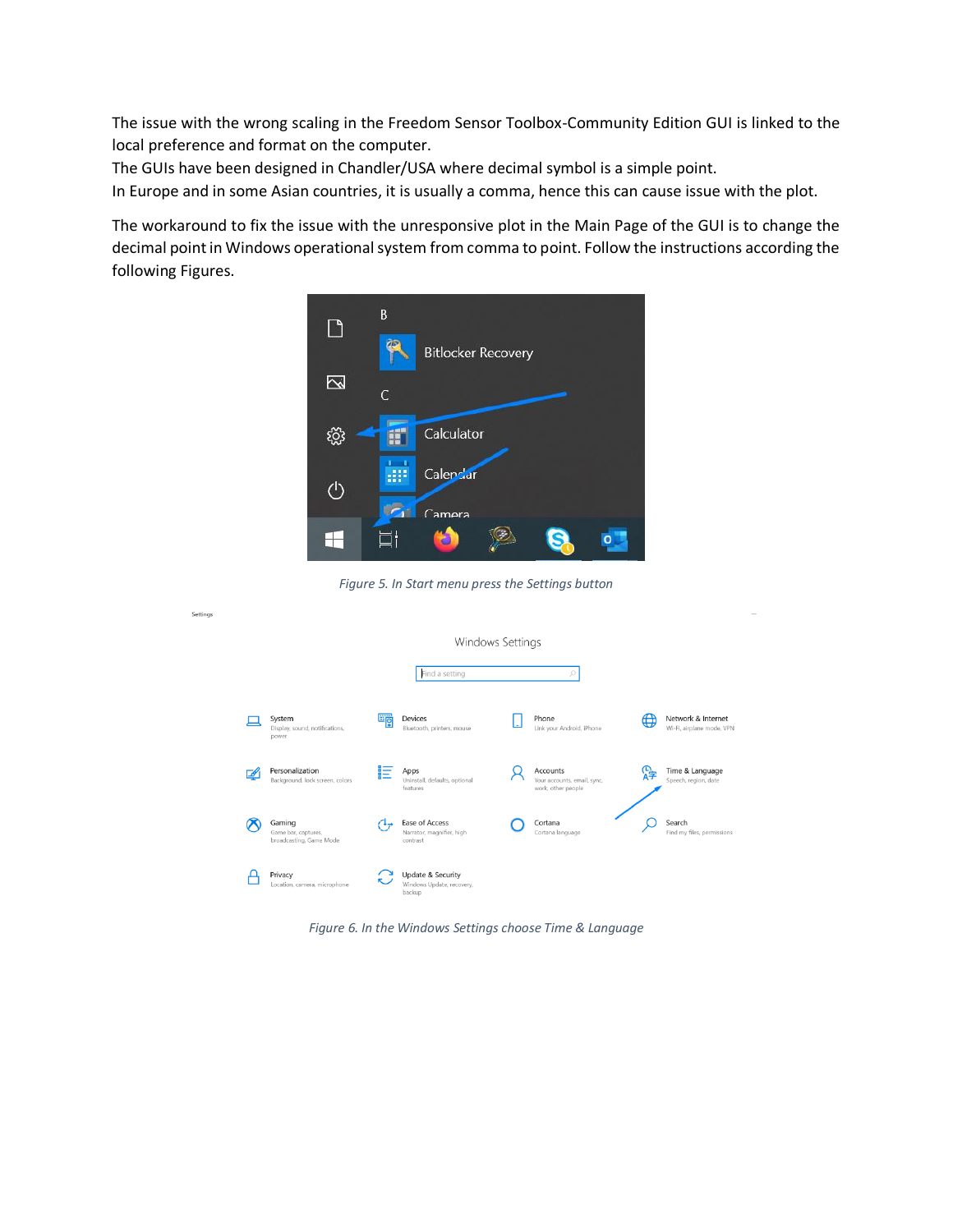The issue with the wrong scaling in the Freedom Sensor Toolbox-Community Edition GUI is linked to the local preference and format on the computer.

The GUIs have been designed in Chandler/USA where decimal symbol is a simple point.

In Europe and in some Asian countries, it is usually a comma, hence this can cause issue with the plot.

The workaround to fix the issue with the unresponsive plot in the Main Page of the GUI is to change the decimal point in Windows operational system from comma to point. Follow the instructions according the following Figures.



*Figure 5. In Start menu press the Settings button*



*Figure 6. In the Windows Settings choose Time & Language*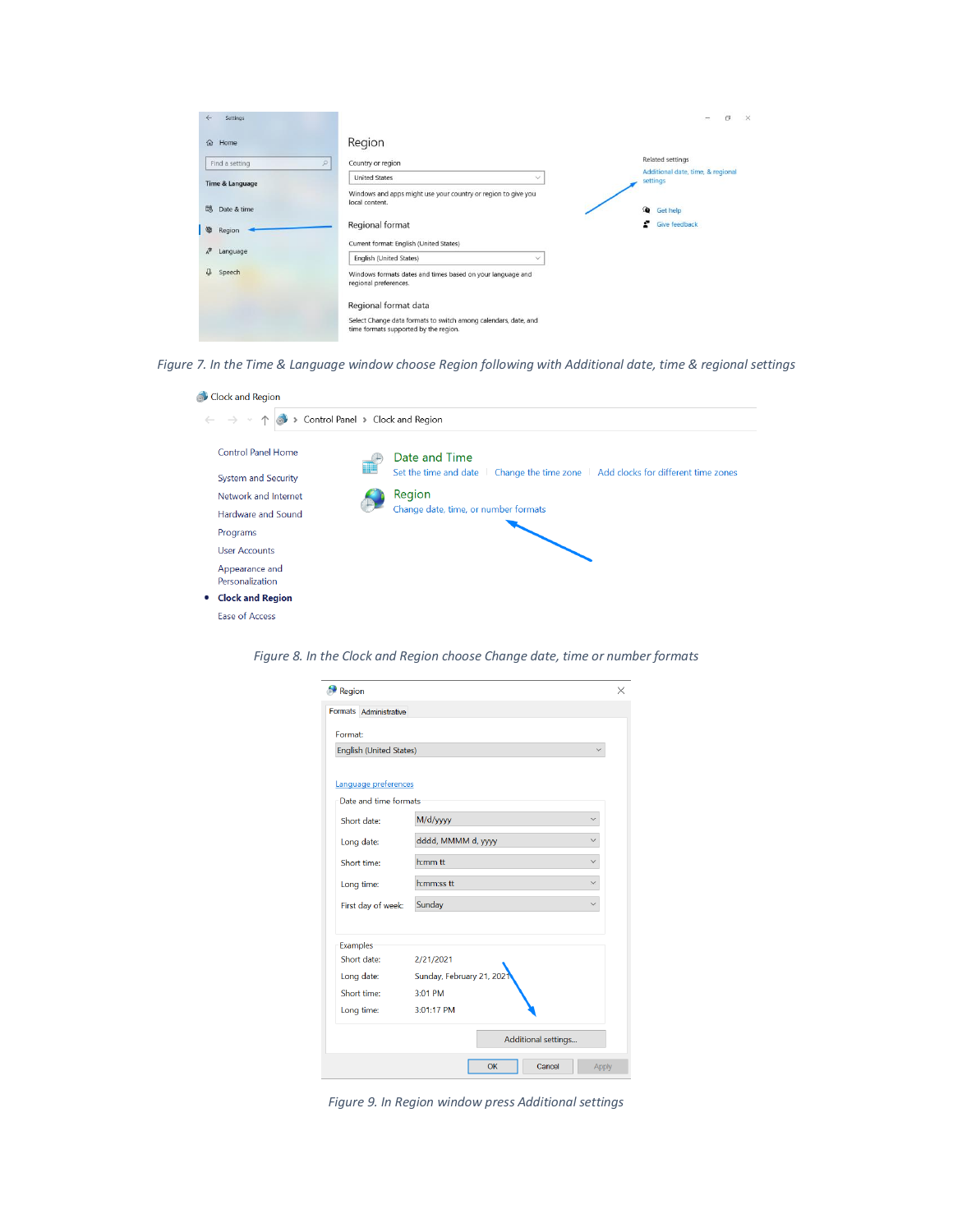| <b>Settings</b>             |                                                                                                                                  | $\Box$<br>X                                   |
|-----------------------------|----------------------------------------------------------------------------------------------------------------------------------|-----------------------------------------------|
| Home<br>$\Omega$            | Region                                                                                                                           |                                               |
| p.<br>Find a setting        | Country or region                                                                                                                | Related settings                              |
| Time & Language             | <b>United States</b><br>$\checkmark$                                                                                             | Additional date, time, & regional<br>settings |
| 昂<br>Date & time            | Windows and apps might use your country or region to give you<br>local content.                                                  | ⋒<br>Get help                                 |
| 國<br>Region                 | Regional format                                                                                                                  | Give feedback                                 |
| $\mathcal{F}_A$<br>Language | Current format: English (United States)<br>English (United States)<br>$\checkmark$                                               |                                               |
| u<br>Speech                 | Windows formats dates and times based on your language and<br>regional preferences.                                              |                                               |
|                             | Regional format data<br>Select Change data formats to switch among calendars, date, and<br>time formats supported by the region. |                                               |

*Figure 7. In the Time & Language window choose Region following with Additional date, time & regional settings*

| Clock and Region                                                 |   |                                                                                    |
|------------------------------------------------------------------|---|------------------------------------------------------------------------------------|
| > Control Panel > Clock and Region<br>$\leftarrow$ $\rightarrow$ |   |                                                                                    |
| <b>Control Panel Home</b>                                        |   | Date and Time                                                                      |
| <b>System and Security</b>                                       | p | Set the time and date   Change the time zone   Add clocks for different time zones |
| Network and Internet                                             |   | Region                                                                             |
| <b>Hardware and Sound</b>                                        |   | Change date, time, or number formats                                               |
| Programs                                                         |   |                                                                                    |
| <b>User Accounts</b>                                             |   |                                                                                    |
| Appearance and<br>Personalization                                |   |                                                                                    |
| <b>Clock and Region</b><br>$\bullet$                             |   |                                                                                    |
| Ease of Access                                                   |   |                                                                                    |

*Figure 8. In the Clock and Region choose Change date, time or number formats*

| Region                  |                           | × |
|-------------------------|---------------------------|---|
| Formats Administrative  |                           |   |
| Format:                 |                           |   |
| English (United States) |                           |   |
|                         |                           |   |
| Language preferences    |                           |   |
| Date and time formats   |                           |   |
| Short date:             | M/d/yyyy                  |   |
| Long date:              | dddd, MMMM d, yyyy        |   |
| Short time:             | h:mm tt                   |   |
| Long time:              | h:mm:ss tt                |   |
| First day of week:      | Sunday                    |   |
| <b>Examples</b>         |                           |   |
| Short date:             | 2/21/2021                 |   |
| Long date:              | Sunday, February 21, 2021 |   |
| Short time:             | 3:01 PM                   |   |
| Long time:              | 3:01:17 PM                |   |
|                         | Additional settings       |   |
|                         | OK<br>Cancel<br>Apply     |   |

*Figure 9. In Region window press Additional settings*